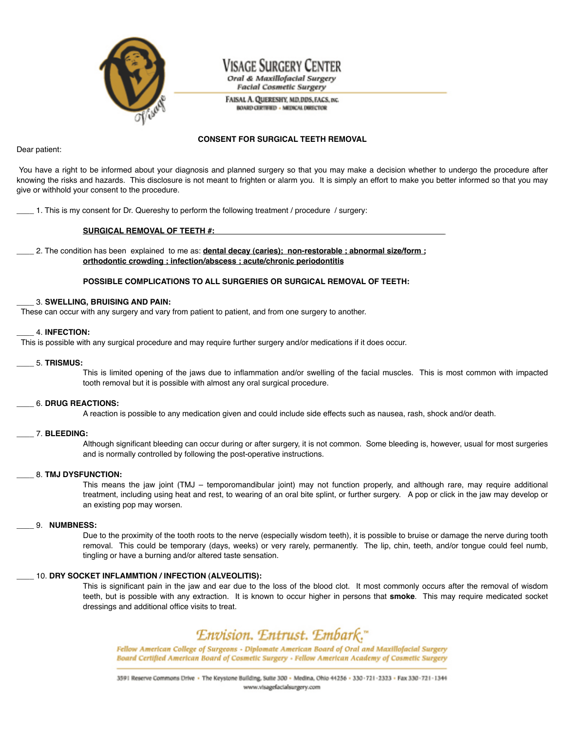

# Visage Surgery Center

Oral & Maxillofacial Surgery **Facial Cosmetic Surgery** 

FAISAL A. QUERESHY, MD, DDS, FACS, INC. **BOARD CERTIFIED - MEDICAL DIRECTOR** 

# **CONSENT FOR SURGICAL TEETH REMOVAL**

Dear patient:

You have a right to be informed about your diagnosis and planned surgery so that you may make a decision whether to undergo the procedure after knowing the risks and hazards. This disclosure is not meant to frighten or alarm you. It is simply an effort to make you better informed so that you may give or withhold your consent to the procedure.

\_\_\_\_ 1. This is my consent for Dr. Quereshy to perform the following treatment / procedure / surgery:

# SURGICAL REMOVAL OF TEETH #:

\_\_\_\_ 2. The condition has been explained to me as: **dental decay (caries); non-restorable ; abnormal size/form ; orthodontic crowding ; infection/abscess ; acute/chronic periodontitis**

# **POSSIBLE COMPLICATIONS TO ALL SURGERIES OR SURGICAL REMOVAL OF TEETH:**

### \_\_\_\_ 3. **SWELLING, BRUISING AND PAIN:**

These can occur with any surgery and vary from patient to patient, and from one surgery to another.

## \_\_\_\_ 4. **INFECTION:**

This is possible with any surgical procedure and may require further surgery and/or medications if it does occur.

### \_\_\_\_ 5. **TRISMUS:**

This is limited opening of the jaws due to inflammation and/or swelling of the facial muscles. This is most common with impacted tooth removal but it is possible with almost any oral surgical procedure.

## \_\_\_\_ 6. **DRUG REACTIONS:**

A reaction is possible to any medication given and could include side effects such as nausea, rash, shock and/or death.

## \_\_\_\_ 7. **BLEEDING:**

Although significant bleeding can occur during or after surgery, it is not common. Some bleeding is, however, usual for most surgeries and is normally controlled by following the post-operative instructions.

## \_\_\_\_ 8. **TMJ DYSFUNCTION:**

This means the jaw joint (TMJ – temporomandibular joint) may not function properly, and although rare, may require additional treatment, including using heat and rest, to wearing of an oral bite splint, or further surgery. A pop or click in the jaw may develop or an existing pop may worsen.

## \_\_\_\_ 9. **NUMBNESS:**

Due to the proximity of the tooth roots to the nerve (especially wisdom teeth), it is possible to bruise or damage the nerve during tooth removal. This could be temporary (days, weeks) or very rarely, permanently. The lip, chin, teeth, and/or tongue could feel numb, tingling or have a burning and/or altered taste sensation.

## \_\_\_\_ 10. **DRY SOCKET INFLAMMTION / INFECTION (ALVEOLITIS):**

This is significant pain in the jaw and ear due to the loss of the blood clot. It most commonly occurs after the removal of wisdom teeth, but is possible with any extraction. It is known to occur higher in persons that **smoke**. This may require medicated socket dressings and additional office visits to treat.

# Envision. Entrust. Embark."

Fellow American College of Surgeons - Diplomate American Board of Oral and Maxillofacial Surgery Board Certified American Board of Cosmetic Surgery - Fellow American Academy of Cosmetic Surgery

3591 Reserve Commons Drive · The Keystone Building, Suite 300 - Medina, Ohio 44256 - 330-721-2323 - Fax 330-721-1344 www.visagefacialsurgery.com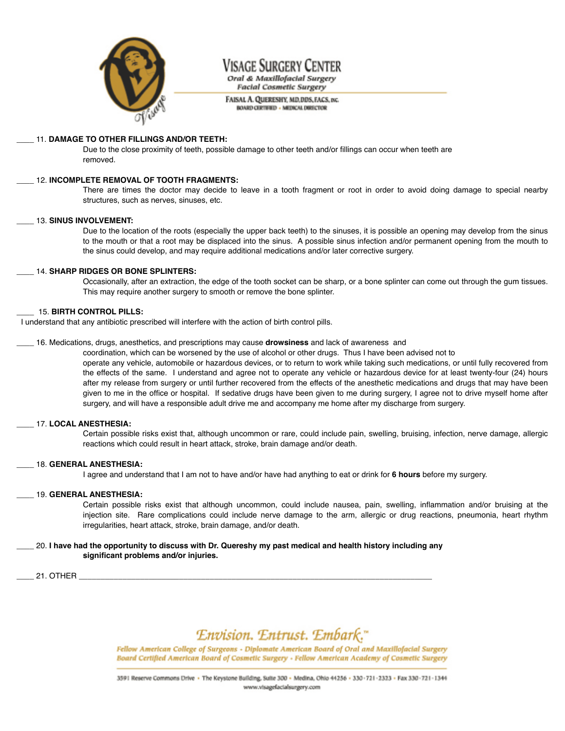

# Visage Surgery Center

Oral & Maxillofacial Surgery **Facial Cosmetic Surgery** 

FAISAL A. QUERESHY, MD, DDS, FACS, INC. **BOARD CERTIFIED - MEDICAL DIRECTOR** 

## \_\_\_\_ 11. **DAMAGE TO OTHER FILLINGS AND/OR TEETH:**

Due to the close proximity of teeth, possible damage to other teeth and/or fillings can occur when teeth are removed.

### \_\_\_\_ 12. **INCOMPLETE REMOVAL OF TOOTH FRAGMENTS:**

There are times the doctor may decide to leave in a tooth fragment or root in order to avoid doing damage to special nearby structures, such as nerves, sinuses, etc.

#### \_\_\_\_ 13. **SINUS INVOLVEMENT:**

Due to the location of the roots (especially the upper back teeth) to the sinuses, it is possible an opening may develop from the sinus to the mouth or that a root may be displaced into the sinus. A possible sinus infection and/or permanent opening from the mouth to the sinus could develop, and may require additional medications and/or later corrective surgery.

### \_\_\_\_ 14. **SHARP RIDGES OR BONE SPLINTERS:**

Occasionally, after an extraction, the edge of the tooth socket can be sharp, or a bone splinter can come out through the gum tissues. This may require another surgery to smooth or remove the bone splinter.

### \_\_\_\_ 15. **BIRTH CONTROL PILLS:**

I understand that any antibiotic prescribed will interfere with the action of birth control pills.

\_\_\_\_ 16. Medications, drugs, anesthetics, and prescriptions may cause **drowsiness** and lack of awareness and

coordination, which can be worsened by the use of alcohol or other drugs. Thus I have been advised not to

operate any vehicle, automobile or hazardous devices, or to return to work while taking such medications, or until fully recovered from the effects of the same. I understand and agree not to operate any vehicle or hazardous device for at least twenty-four (24) hours after my release from surgery or until further recovered from the effects of the anesthetic medications and drugs that may have been given to me in the office or hospital. If sedative drugs have been given to me during surgery, I agree not to drive myself home after surgery, and will have a responsible adult drive me and accompany me home after my discharge from surgery.

#### \_\_\_\_ 17. **LOCAL ANESTHESIA:**

Certain possible risks exist that, although uncommon or rare, could include pain, swelling, bruising, infection, nerve damage, allergic reactions which could result in heart attack, stroke, brain damage and/or death.

#### \_\_\_\_ 18. **GENERAL ANESTHESIA:**

I agree and understand that I am not to have and/or have had anything to eat or drink for **6 hours** before my surgery.

### \_\_\_\_ 19. **GENERAL ANESTHESIA:**

Certain possible risks exist that although uncommon, could include nausea, pain, swelling, inflammation and/or bruising at the injection site. Rare complications could include nerve damage to the arm, allergic or drug reactions, pneumonia, heart rhythm irregularities, heart attack, stroke, brain damage, and/or death.

### 20. I have had the opportunity to discuss with Dr. Quereshy my past medical and health history including any **significant problems and/or injuries.**

\_\_\_\_ 21. OTHER \_\_\_\_\_\_\_\_\_\_\_\_\_\_\_\_\_\_\_\_\_\_\_\_\_\_\_\_\_\_\_\_\_\_\_\_\_\_\_\_\_\_\_\_\_\_\_\_\_\_\_\_\_\_\_\_\_\_\_\_\_\_\_\_\_\_\_\_\_\_\_\_\_\_\_\_\_\_\_\_\_

Envision. Entrust. Embark."

Fellow American College of Surgeons - Diplomate American Board of Oral and Maxillofacial Surgery Board Certified American Board of Cosmetic Surgery - Fellow American Academy of Cosmetic Surgery

3591 Reserve Commons Drive · The Keystone Building, Suite 300 - Medina, Ohio 44256 - 330-721-2323 - Fax 330-721-1344 www.visagefacialsurgery.com